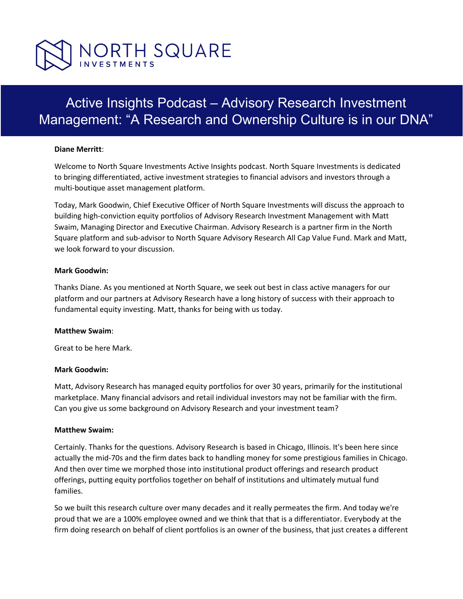

# Active Insights Podcast – Advisory Research Investment Management: "A Research and Ownership Culture is in our DNA"

#### **Diane Merritt**:

Welcome to North Square Investments Active Insights podcast. North Square Investments is dedicated to bringing differentiated, active investment strategies to financial advisors and investors through a multi-boutique asset management platform.

Today, Mark Goodwin, Chief Executive Officer of North Square Investments will discuss the approach to building high-conviction equity portfolios of Advisory Research Investment Management with Matt Swaim, Managing Director and Executive Chairman. Advisory Research is a partner firm in the North Square platform and sub-advisor to North Square Advisory Research All Cap Value Fund. Mark and Matt, we look forward to your discussion.

#### **Mark Goodwin:**

Thanks Diane. As you mentioned at North Square, we seek out best in class active managers for our platform and our partners at Advisory Research have a long history of success with their approach to fundamental equity investing. Matt, thanks for being with us today.

#### **Matthew Swaim**:

Great to be here Mark.

#### **Mark Goodwin:**

Matt, Advisory Research has managed equity portfolios for over 30 years, primarily for the institutional marketplace. Many financial advisors and retail individual investors may not be familiar with the firm. Can you give us some background on Advisory Research and your investment team?

#### **Matthew Swaim:**

Certainly. Thanks for the questions. Advisory Research is based in Chicago, Illinois. It's been here since actually the mid-70s and the firm dates back to handling money for some prestigious families in Chicago. And then over time we morphed those into institutional product offerings and research product offerings, putting equity portfolios together on behalf of institutions and ultimately mutual fund families.

So we built this research culture over many decades and it really permeates the firm. And today we're proud that we are a 100% employee owned and we think that that is a differentiator. Everybody at the firm doing research on behalf of client portfolios is an owner of the business, that just creates a different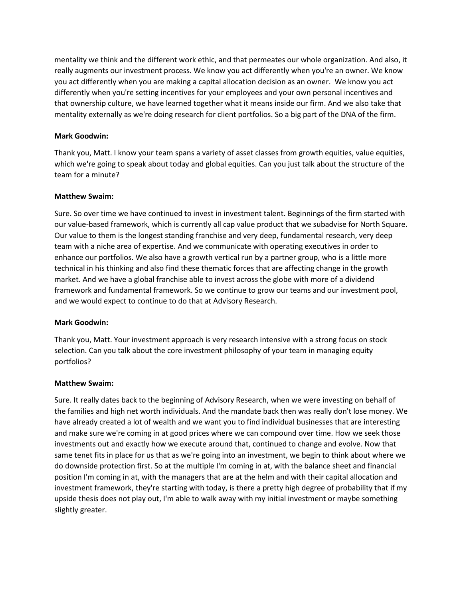mentality we think and the different work ethic, and that permeates our whole organization. And also, it really augments our investment process. We know you act differently when you're an owner. We know you act differently when you are making a capital allocation decision as an owner. We know you act differently when you're setting incentives for your employees and your own personal incentives and that ownership culture, we have learned together what it means inside our firm. And we also take that mentality externally as we're doing research for client portfolios. So a big part of the DNA of the firm.

## **Mark Goodwin:**

Thank you, Matt. I know your team spans a variety of asset classes from growth equities, value equities, which we're going to speak about today and global equities. Can you just talk about the structure of the team for a minute?

#### **Matthew Swaim:**

Sure. So over time we have continued to invest in investment talent. Beginnings of the firm started with our value-based framework, which is currently all cap value product that we subadvise for North Square. Our value to them is the longest standing franchise and very deep, fundamental research, very deep team with a niche area of expertise. And we communicate with operating executives in order to enhance our portfolios. We also have a growth vertical run by a partner group, who is a little more technical in his thinking and also find these thematic forces that are affecting change in the growth market. And we have a global franchise able to invest across the globe with more of a dividend framework and fundamental framework. So we continue to grow our teams and our investment pool, and we would expect to continue to do that at Advisory Research.

## **Mark Goodwin:**

Thank you, Matt. Your investment approach is very research intensive with a strong focus on stock selection. Can you talk about the core investment philosophy of your team in managing equity portfolios?

#### **Matthew Swaim:**

Sure. It really dates back to the beginning of Advisory Research, when we were investing on behalf of the families and high net worth individuals. And the mandate back then was really don't lose money. We have already created a lot of wealth and we want you to find individual businesses that are interesting and make sure we're coming in at good prices where we can compound over time. How we seek those investments out and exactly how we execute around that, continued to change and evolve. Now that same tenet fits in place for us that as we're going into an investment, we begin to think about where we do downside protection first. So at the multiple I'm coming in at, with the balance sheet and financial position I'm coming in at, with the managers that are at the helm and with their capital allocation and investment framework, they're starting with today, is there a pretty high degree of probability that if my upside thesis does not play out, I'm able to walk away with my initial investment or maybe something slightly greater.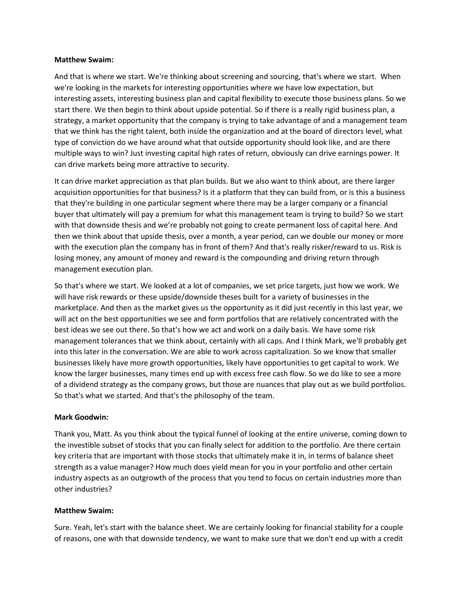And that is where we start. We're thinking about screening and sourcing, that's where we start. When we're looking in the markets for interesting opportunities where we have low expectation, but interesting assets, interesting business plan and capital flexibility to execute those business plans. So we start there. We then begin to think about upside potential. So if there is a really rigid business plan, a strategy, a market opportunity that the company is trying to take advantage of and a management team that we think has the right talent, both inside the organization and at the board of directors level, what type of conviction do we have around what that outside opportunity should look like, and are there multiple ways to win? Just investing capital high rates of return, obviously can drive earnings power. It can drive markets being more attractive to security.

It can drive market appreciation as that plan builds. But we also want to think about, are there larger acquisition opportunities for that business? Is it a platform that they can build from, or is this a business that they're building in one particular segment where there may be a larger company or a financial buyer that ultimately will pay a premium for what this management team is trying to build? So we start with that downside thesis and we're probably not going to create permanent loss of capital here. And then we think about that upside thesis, over a month, a year period, can we double our money or more with the execution plan the company has in front of them? And that's really risker/reward to us. Risk is losing money, any amount of money and reward is the compounding and driving return through management execution plan.

So that's where we start. We looked at a lot of companies, we set price targets, just how we work. We will have risk rewards or these upside/downside theses built for a variety of businesses in the marketplace. And then as the market gives us the opportunity as it did just recently in this last year, we will act on the best opportunities we see and form portfolios that are relatively concentrated with the best ideas we see out there. So that's how we act and work on a daily basis. We have some risk management tolerances that we think about, certainly with all caps. And I think Mark, we'll probably get into this later in the conversation. We are able to work across capitalization. So we know that smaller businesses likely have more growth opportunities, likely have opportunities to get capital to work. We know the larger businesses, many times end up with excess free cash flow. So we do like to see a more of a dividend strategy as the company grows, but those are nuances that play out as we build portfolios. So that's what we started. And that's the philosophy of the team.

## **Mark Goodwin:**

Thank you, Matt. As you think about the typical funnel of looking at the entire universe, coming down to the investible subset of stocks that you can finally select for addition to the portfolio. Are there certain key criteria that are important with those stocks that ultimately make it in, in terms of balance sheet strength as a value manager? How much does yield mean for you in your portfolio and other certain industry aspects as an outgrowth of the process that you tend to focus on certain industries more than other industries?

## **Matthew Swaim:**

Sure. Yeah, let's start with the balance sheet. We are certainly looking for financial stability for a couple of reasons, one with that downside tendency, we want to make sure that we don't end up with a credit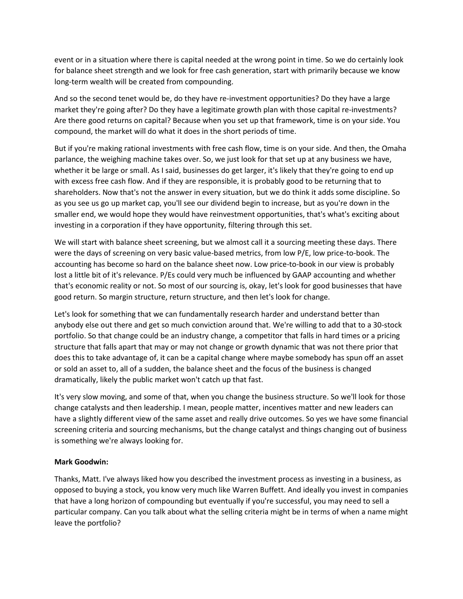event or in a situation where there is capital needed at the wrong point in time. So we do certainly look for balance sheet strength and we look for free cash generation, start with primarily because we know long-term wealth will be created from compounding.

And so the second tenet would be, do they have re-investment opportunities? Do they have a large market they're going after? Do they have a legitimate growth plan with those capital re-investments? Are there good returns on capital? Because when you set up that framework, time is on your side. You compound, the market will do what it does in the short periods of time.

But if you're making rational investments with free cash flow, time is on your side. And then, the Omaha parlance, the weighing machine takes over. So, we just look for that set up at any business we have, whether it be large or small. As I said, businesses do get larger, it's likely that they're going to end up with excess free cash flow. And if they are responsible, it is probably good to be returning that to shareholders. Now that's not the answer in every situation, but we do think it adds some discipline. So as you see us go up market cap, you'll see our dividend begin to increase, but as you're down in the smaller end, we would hope they would have reinvestment opportunities, that's what's exciting about investing in a corporation if they have opportunity, filtering through this set.

We will start with balance sheet screening, but we almost call it a sourcing meeting these days. There were the days of screening on very basic value-based metrics, from low P/E, low price-to-book. The accounting has become so hard on the balance sheet now. Low price-to-book in our view is probably lost a little bit of it's relevance. P/Es could very much be influenced by GAAP accounting and whether that's economic reality or not. So most of our sourcing is, okay, let's look for good businesses that have good return. So margin structure, return structure, and then let's look for change.

Let's look for something that we can fundamentally research harder and understand better than anybody else out there and get so much conviction around that. We're willing to add that to a 30-stock portfolio. So that change could be an industry change, a competitor that falls in hard times or a pricing structure that falls apart that may or may not change or growth dynamic that was not there prior that does this to take advantage of, it can be a capital change where maybe somebody has spun off an asset or sold an asset to, all of a sudden, the balance sheet and the focus of the business is changed dramatically, likely the public market won't catch up that fast.

It's very slow moving, and some of that, when you change the business structure. So we'll look for those change catalysts and then leadership. I mean, people matter, incentives matter and new leaders can have a slightly different view of the same asset and really drive outcomes. So yes we have some financial screening criteria and sourcing mechanisms, but the change catalyst and things changing out of business is something we're always looking for.

## **Mark Goodwin:**

Thanks, Matt. I've always liked how you described the investment process as investing in a business, as opposed to buying a stock, you know very much like Warren Buffett. And ideally you invest in companies that have a long horizon of compounding but eventually if you're successful, you may need to sell a particular company. Can you talk about what the selling criteria might be in terms of when a name might leave the portfolio?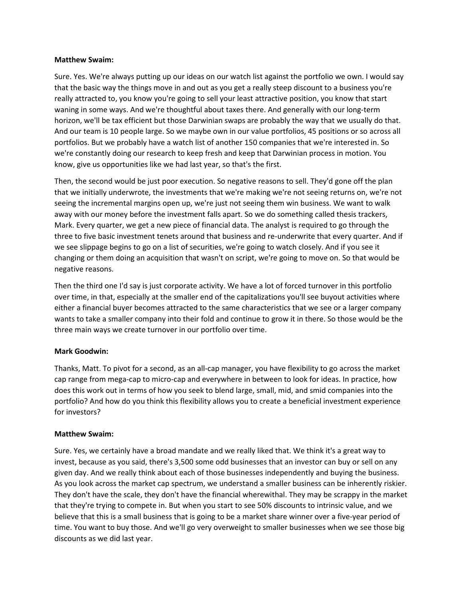Sure. Yes. We're always putting up our ideas on our watch list against the portfolio we own. I would say that the basic way the things move in and out as you get a really steep discount to a business you're really attracted to, you know you're going to sell your least attractive position, you know that start waning in some ways. And we're thoughtful about taxes there. And generally with our long-term horizon, we'll be tax efficient but those Darwinian swaps are probably the way that we usually do that. And our team is 10 people large. So we maybe own in our value portfolios, 45 positions or so across all portfolios. But we probably have a watch list of another 150 companies that we're interested in. So we're constantly doing our research to keep fresh and keep that Darwinian process in motion. You know, give us opportunities like we had last year, so that's the first.

Then, the second would be just poor execution. So negative reasons to sell. They'd gone off the plan that we initially underwrote, the investments that we're making we're not seeing returns on, we're not seeing the incremental margins open up, we're just not seeing them win business. We want to walk away with our money before the investment falls apart. So we do something called thesis trackers, Mark. Every quarter, we get a new piece of financial data. The analyst is required to go through the three to five basic investment tenets around that business and re-underwrite that every quarter. And if we see slippage begins to go on a list of securities, we're going to watch closely. And if you see it changing or them doing an acquisition that wasn't on script, we're going to move on. So that would be negative reasons.

Then the third one I'd say is just corporate activity. We have a lot of forced turnover in this portfolio over time, in that, especially at the smaller end of the capitalizations you'll see buyout activities where either a financial buyer becomes attracted to the same characteristics that we see or a larger company wants to take a smaller company into their fold and continue to grow it in there. So those would be the three main ways we create turnover in our portfolio over time.

## **Mark Goodwin:**

Thanks, Matt. To pivot for a second, as an all-cap manager, you have flexibility to go across the market cap range from mega-cap to micro-cap and everywhere in between to look for ideas. In practice, how does this work out in terms of how you seek to blend large, small, mid, and smid companies into the portfolio? And how do you think this flexibility allows you to create a beneficial investment experience for investors?

## **Matthew Swaim:**

Sure. Yes, we certainly have a broad mandate and we really liked that. We think it's a great way to invest, because as you said, there's 3,500 some odd businesses that an investor can buy or sell on any given day. And we really think about each of those businesses independently and buying the business. As you look across the market cap spectrum, we understand a smaller business can be inherently riskier. They don't have the scale, they don't have the financial wherewithal. They may be scrappy in the market that they're trying to compete in. But when you start to see 50% discounts to intrinsic value, and we believe that this is a small business that is going to be a market share winner over a five-year period of time. You want to buy those. And we'll go very overweight to smaller businesses when we see those big discounts as we did last year.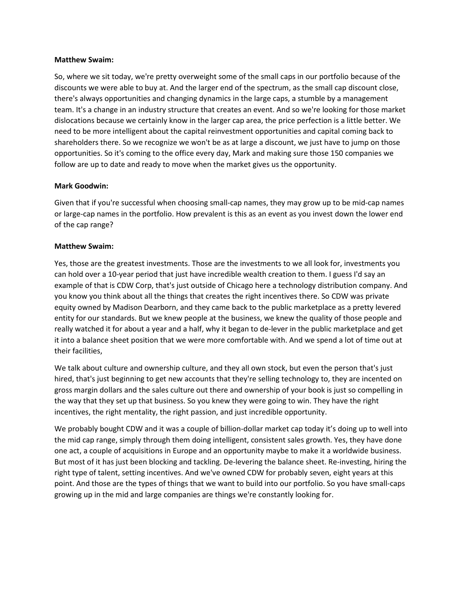So, where we sit today, we're pretty overweight some of the small caps in our portfolio because of the discounts we were able to buy at. And the larger end of the spectrum, as the small cap discount close, there's always opportunities and changing dynamics in the large caps, a stumble by a management team. It's a change in an industry structure that creates an event. And so we're looking for those market dislocations because we certainly know in the larger cap area, the price perfection is a little better. We need to be more intelligent about the capital reinvestment opportunities and capital coming back to shareholders there. So we recognize we won't be as at large a discount, we just have to jump on those opportunities. So it's coming to the office every day, Mark and making sure those 150 companies we follow are up to date and ready to move when the market gives us the opportunity.

## **Mark Goodwin:**

Given that if you're successful when choosing small-cap names, they may grow up to be mid-cap names or large-cap names in the portfolio. How prevalent is this as an event as you invest down the lower end of the cap range?

## **Matthew Swaim:**

Yes, those are the greatest investments. Those are the investments to we all look for, investments you can hold over a 10-year period that just have incredible wealth creation to them. I guess I'd say an example of that is CDW Corp, that's just outside of Chicago here a technology distribution company. And you know you think about all the things that creates the right incentives there. So CDW was private equity owned by Madison Dearborn, and they came back to the public marketplace as a pretty levered entity for our standards. But we knew people at the business, we knew the quality of those people and really watched it for about a year and a half, why it began to de-lever in the public marketplace and get it into a balance sheet position that we were more comfortable with. And we spend a lot of time out at their facilities,

We talk about culture and ownership culture, and they all own stock, but even the person that's just hired, that's just beginning to get new accounts that they're selling technology to, they are incented on gross margin dollars and the sales culture out there and ownership of your book is just so compelling in the way that they set up that business. So you knew they were going to win. They have the right incentives, the right mentality, the right passion, and just incredible opportunity.

We probably bought CDW and it was a couple of billion-dollar market cap today it's doing up to well into the mid cap range, simply through them doing intelligent, consistent sales growth. Yes, they have done one act, a couple of acquisitions in Europe and an opportunity maybe to make it a worldwide business. But most of it has just been blocking and tackling. De-levering the balance sheet. Re-investing, hiring the right type of talent, setting incentives. And we've owned CDW for probably seven, eight years at this point. And those are the types of things that we want to build into our portfolio. So you have small-caps growing up in the mid and large companies are things we're constantly looking for.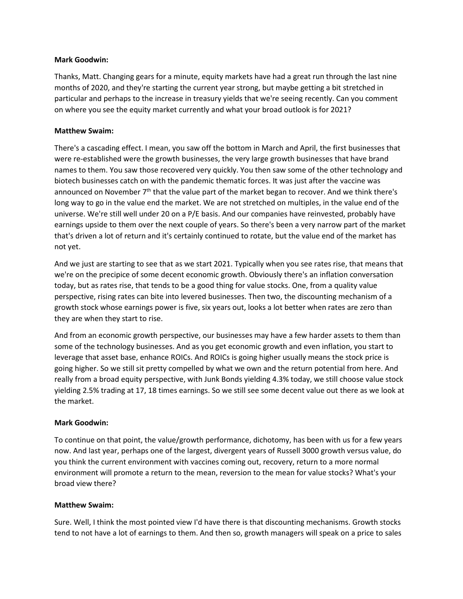#### **Mark Goodwin:**

Thanks, Matt. Changing gears for a minute, equity markets have had a great run through the last nine months of 2020, and they're starting the current year strong, but maybe getting a bit stretched in particular and perhaps to the increase in treasury yields that we're seeing recently. Can you comment on where you see the equity market currently and what your broad outlook is for 2021?

## **Matthew Swaim:**

There's a cascading effect. I mean, you saw off the bottom in March and April, the first businesses that were re-established were the growth businesses, the very large growth businesses that have brand names to them. You saw those recovered very quickly. You then saw some of the other technology and biotech businesses catch on with the pandemic thematic forces. It was just after the vaccine was announced on November  $7<sup>th</sup>$  that the value part of the market began to recover. And we think there's long way to go in the value end the market. We are not stretched on multiples, in the value end of the universe. We're still well under 20 on a P/E basis. And our companies have reinvested, probably have earnings upside to them over the next couple of years. So there's been a very narrow part of the market that's driven a lot of return and it's certainly continued to rotate, but the value end of the market has not yet.

And we just are starting to see that as we start 2021. Typically when you see rates rise, that means that we're on the precipice of some decent economic growth. Obviously there's an inflation conversation today, but as rates rise, that tends to be a good thing for value stocks. One, from a quality value perspective, rising rates can bite into levered businesses. Then two, the discounting mechanism of a growth stock whose earnings power is five, six years out, looks a lot better when rates are zero than they are when they start to rise.

And from an economic growth perspective, our businesses may have a few harder assets to them than some of the technology businesses. And as you get economic growth and even inflation, you start to leverage that asset base, enhance ROICs. And ROICs is going higher usually means the stock price is going higher. So we still sit pretty compelled by what we own and the return potential from here. And really from a broad equity perspective, with Junk Bonds yielding 4.3% today, we still choose value stock yielding 2.5% trading at 17, 18 times earnings. So we still see some decent value out there as we look at the market.

# **Mark Goodwin:**

To continue on that point, the value/growth performance, dichotomy, has been with us for a few years now. And last year, perhaps one of the largest, divergent years of Russell 3000 growth versus value, do you think the current environment with vaccines coming out, recovery, return to a more normal environment will promote a return to the mean, reversion to the mean for value stocks? What's your broad view there?

## **Matthew Swaim:**

Sure. Well, I think the most pointed view I'd have there is that discounting mechanisms. Growth stocks tend to not have a lot of earnings to them. And then so, growth managers will speak on a price to sales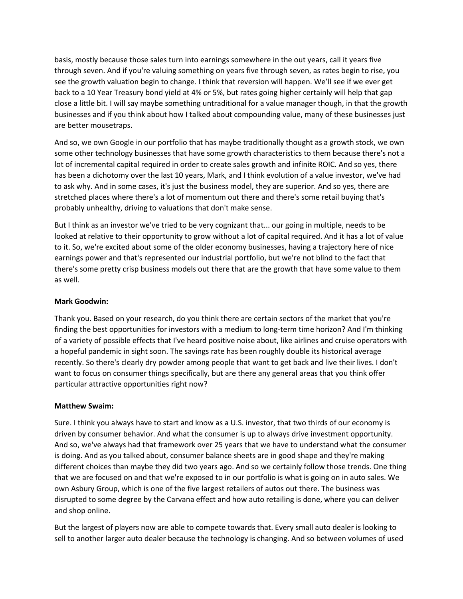basis, mostly because those sales turn into earnings somewhere in the out years, call it years five through seven. And if you're valuing something on years five through seven, as rates begin to rise, you see the growth valuation begin to change. I think that reversion will happen. We'll see if we ever get back to a 10 Year Treasury bond yield at 4% or 5%, but rates going higher certainly will help that gap close a little bit. I will say maybe something untraditional for a value manager though, in that the growth businesses and if you think about how I talked about compounding value, many of these businesses just are better mousetraps.

And so, we own Google in our portfolio that has maybe traditionally thought as a growth stock, we own some other technology businesses that have some growth characteristics to them because there's not a lot of incremental capital required in order to create sales growth and infinite ROIC. And so yes, there has been a dichotomy over the last 10 years, Mark, and I think evolution of a value investor, we've had to ask why. And in some cases, it's just the business model, they are superior. And so yes, there are stretched places where there's a lot of momentum out there and there's some retail buying that's probably unhealthy, driving to valuations that don't make sense.

But I think as an investor we've tried to be very cognizant that... our going in multiple, needs to be looked at relative to their opportunity to grow without a lot of capital required. And it has a lot of value to it. So, we're excited about some of the older economy businesses, having a trajectory here of nice earnings power and that's represented our industrial portfolio, but we're not blind to the fact that there's some pretty crisp business models out there that are the growth that have some value to them as well.

## **Mark Goodwin:**

Thank you. Based on your research, do you think there are certain sectors of the market that you're finding the best opportunities for investors with a medium to long-term time horizon? And I'm thinking of a variety of possible effects that I've heard positive noise about, like airlines and cruise operators with a hopeful pandemic in sight soon. The savings rate has been roughly double its historical average recently. So there's clearly dry powder among people that want to get back and live their lives. I don't want to focus on consumer things specifically, but are there any general areas that you think offer particular attractive opportunities right now?

## **Matthew Swaim:**

Sure. I think you always have to start and know as a U.S. investor, that two thirds of our economy is driven by consumer behavior. And what the consumer is up to always drive investment opportunity. And so, we've always had that framework over 25 years that we have to understand what the consumer is doing. And as you talked about, consumer balance sheets are in good shape and they're making different choices than maybe they did two years ago. And so we certainly follow those trends. One thing that we are focused on and that we're exposed to in our portfolio is what is going on in auto sales. We own Asbury Group, which is one of the five largest retailers of autos out there. The business was disrupted to some degree by the Carvana effect and how auto retailing is done, where you can deliver and shop online.

But the largest of players now are able to compete towards that. Every small auto dealer is looking to sell to another larger auto dealer because the technology is changing. And so between volumes of used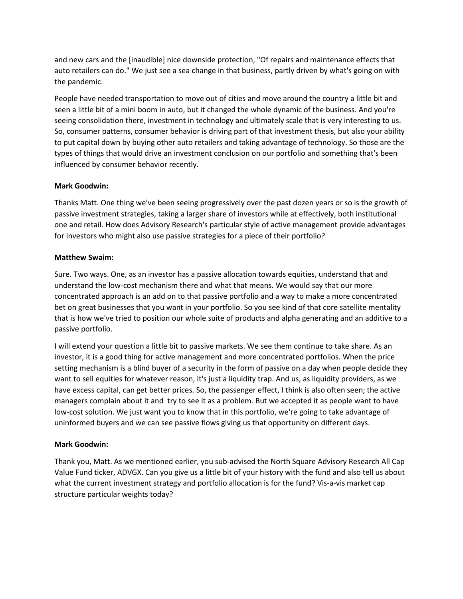and new cars and the [inaudible] nice downside protection, "Of repairs and maintenance effects that auto retailers can do." We just see a sea change in that business, partly driven by what's going on with the pandemic.

People have needed transportation to move out of cities and move around the country a little bit and seen a little bit of a mini boom in auto, but it changed the whole dynamic of the business. And you're seeing consolidation there, investment in technology and ultimately scale that is very interesting to us. So, consumer patterns, consumer behavior is driving part of that investment thesis, but also your ability to put capital down by buying other auto retailers and taking advantage of technology. So those are the types of things that would drive an investment conclusion on our portfolio and something that's been influenced by consumer behavior recently.

## **Mark Goodwin:**

Thanks Matt. One thing we've been seeing progressively over the past dozen years or so is the growth of passive investment strategies, taking a larger share of investors while at effectively, both institutional one and retail. How does Advisory Research's particular style of active management provide advantages for investors who might also use passive strategies for a piece of their portfolio?

## **Matthew Swaim:**

Sure. Two ways. One, as an investor has a passive allocation towards equities, understand that and understand the low-cost mechanism there and what that means. We would say that our more concentrated approach is an add on to that passive portfolio and a way to make a more concentrated bet on great businesses that you want in your portfolio. So you see kind of that core satellite mentality that is how we've tried to position our whole suite of products and alpha generating and an additive to a passive portfolio.

I will extend your question a little bit to passive markets. We see them continue to take share. As an investor, it is a good thing for active management and more concentrated portfolios. When the price setting mechanism is a blind buyer of a security in the form of passive on a day when people decide they want to sell equities for whatever reason, it's just a liquidity trap. And us, as liquidity providers, as we have excess capital, can get better prices. So, the passenger effect, I think is also often seen; the active managers complain about it and try to see it as a problem. But we accepted it as people want to have low-cost solution. We just want you to know that in this portfolio, we're going to take advantage of uninformed buyers and we can see passive flows giving us that opportunity on different days.

## **Mark Goodwin:**

Thank you, Matt. As we mentioned earlier, you sub-advised the North Square Advisory Research All Cap Value Fund ticker, ADVGX. Can you give us a little bit of your history with the fund and also tell us about what the current investment strategy and portfolio allocation is for the fund? Vis-a-vis market cap structure particular weights today?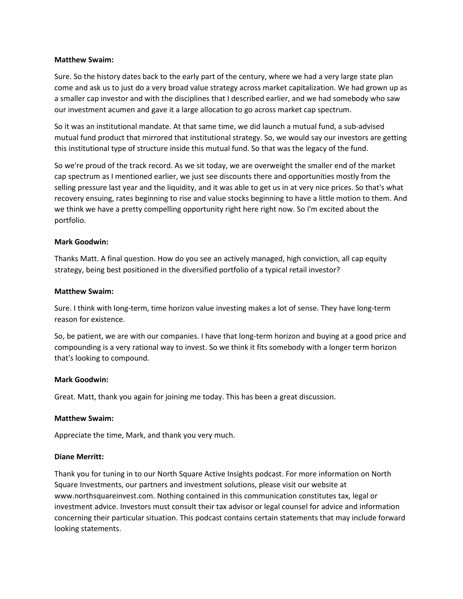Sure. So the history dates back to the early part of the century, where we had a very large state plan come and ask us to just do a very broad value strategy across market capitalization. We had grown up as a smaller cap investor and with the disciplines that I described earlier, and we had somebody who saw our investment acumen and gave it a large allocation to go across market cap spectrum.

So it was an institutional mandate. At that same time, we did launch a mutual fund, a sub-advised mutual fund product that mirrored that institutional strategy. So, we would say our investors are getting this institutional type of structure inside this mutual fund. So that was the legacy of the fund.

So we're proud of the track record. As we sit today, we are overweight the smaller end of the market cap spectrum as I mentioned earlier, we just see discounts there and opportunities mostly from the selling pressure last year and the liquidity, and it was able to get us in at very nice prices. So that's what recovery ensuing, rates beginning to rise and value stocks beginning to have a little motion to them. And we think we have a pretty compelling opportunity right here right now. So I'm excited about the portfolio.

## **Mark Goodwin:**

Thanks Matt. A final question. How do you see an actively managed, high conviction, all cap equity strategy, being best positioned in the diversified portfolio of a typical retail investor?

#### **Matthew Swaim:**

Sure. I think with long-term, time horizon value investing makes a lot of sense. They have long-term reason for existence.

So, be patient, we are with our companies. I have that long-term horizon and buying at a good price and compounding is a very rational way to invest. So we think it fits somebody with a longer term horizon that's looking to compound.

## **Mark Goodwin:**

Great. Matt, thank you again for joining me today. This has been a great discussion.

#### **Matthew Swaim:**

Appreciate the time, Mark, and thank you very much.

#### **Diane Merritt:**

Thank you for tuning in to our North Square Active Insights podcast. For more information on North Square Investments, our partners and investment solutions, please visit our website at www.northsquareinvest.com. Nothing contained in this communication constitutes tax, legal or investment advice. Investors must consult their tax advisor or legal counsel for advice and information concerning their particular situation. This podcast contains certain statements that may include forward looking statements.